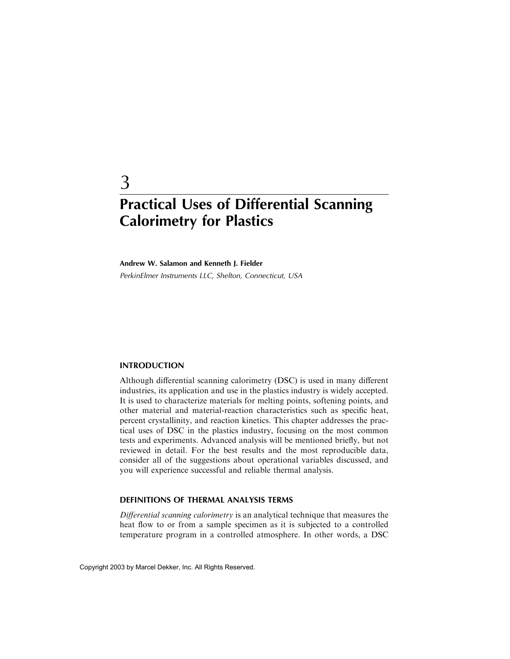# 3 Practical Uses of Differential Scanning Calorimetry for Plastics

Andrew W. Salamon and Kenneth J. Fielder

PerkinElmer Instruments LLC, Shelton, Connecticut, USA

#### INTRODUCTION

Although differential scanning calorimetry (DSC) is used in many different industries, its application and use in the plastics industry is widely accepted. It is used to characterize materials for melting points, softening points, and other material and material-reaction characteristics such as specific heat, percent crystallinity, and reaction kinetics. This chapter addresses the practical uses of DSC in the plastics industry, focusing on the most common tests and experiments. Advanced analysis will be mentioned briefly, but not reviewed in detail. For the best results and the most reproducible data, consider all of the suggestions about operational variables discussed, and you will experience successful and reliable thermal analysis.

#### DEFINITIONS OF THERMAL ANALYSIS TERMS

Differential scanning calorimetry is an analytical technique that measures the heat flow to or from a sample specimen as it is subjected to a controlled temperature program in a controlled atmosphere. In other words, a DSC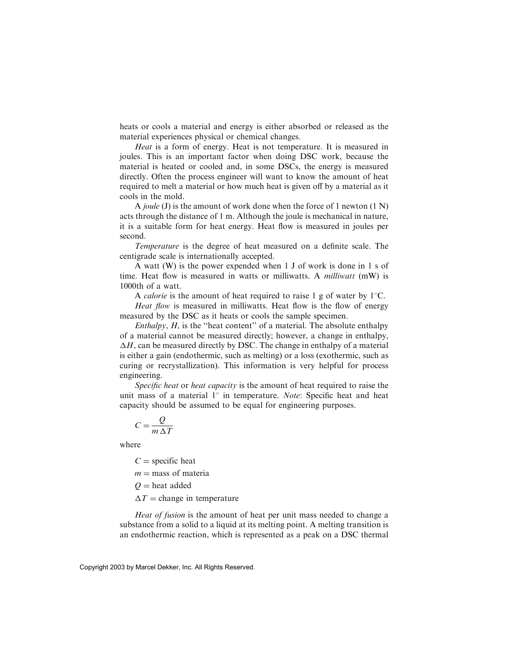heats or cools a material and energy is either absorbed or released as the material experiences physical or chemical changes.

Heat is a form of energy. Heat is not temperature. It is measured in joules. This is an important factor when doing DSC work, because the material is heated or cooled and, in some DSCs, the energy is measured directly. Often the process engineer will want to know the amount of heat required to melt a material or how much heat is given off by a material as it cools in the mold.

A joule (J) is the amount of work done when the force of 1 newton (1 N) acts through the distance of 1 m. Although the joule is mechanical in nature, it is a suitable form for heat energy. Heat flow is measured in joules per second.

Temperature is the degree of heat measured on a definite scale. The centigrade scale is internationally accepted.

A watt (W) is the power expended when 1 J of work is done in 1 s of time. Heat flow is measured in watts or milliwatts. A *milliwatt* (mW) is 1000th of a watt.

A *calorie* is the amount of heat required to raise 1 g of water by  $1^{\circ}C$ .

Heat flow is measured in milliwatts. Heat flow is the flow of energy measured by the DSC as it heats or cools the sample specimen.

Enthalpy,  $H$ , is the "heat content" of a material. The absolute enthalpy of a material cannot be measured directly; however, a change in enthalpy,  $\Delta H$ , can be measured directly by DSC. The change in enthalpy of a material is either a gain (endothermic, such as melting) or a loss (exothermic, such as curing or recrystallization). This information is very helpful for process engineering.

Specific heat or heat capacity is the amount of heat required to raise the unit mass of a material  $1^\circ$  in temperature. Note: Specific heat and heat capacity should be assumed to be equal for engineering purposes.

$$
C = \frac{Q}{m \Delta T}
$$

where

 $C$  = specific heat  $m =$  mass of materia  $Q =$ heat added

 $\Delta T$  = change in temperature

Heat of fusion is the amount of heat per unit mass needed to change a substance from a solid to a liquid at its melting point. A melting transition is an endothermic reaction, which is represented as a peak on a DSC thermal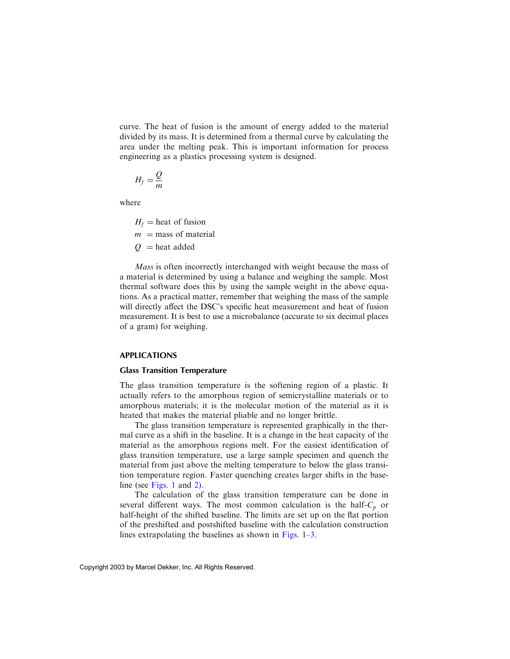curve. The heat of fusion is the amount of energy added to the material divided by its mass. It is determined from a thermal curve by calculating the area under the melting peak. This is important information for process engineering as a plastics processing system is designed.

$$
H_f=\frac{Q}{m}
$$

where

 $H_f$  = heat of fusion  $m =$  mass of material  $Q =$ heat added

Mass is often incorrectly interchanged with weight because the mass of a material is determined by using a balance and weighing the sample. Most thermal software does this by using the sample weight in the above equations. As a practical matter, remember that weighing the mass of the sample will directly affect the DSC's specific heat measurement and heat of fusion measurement. It is best to use a microbalance (accurate to six decimal places of a gram) for weighing.

# APPLICATIONS

## Glass Transition Temperature

The glass transition temperature is the softening region of a plastic. It actually refers to the amorphous region of semicrystalline materials or to amorphous materials; it is the molecular motion of the material as it is heated that makes the material pliable and no longer brittle.

The glass transition temperature is represented graphically in the thermal curve as a shift in the baseline. It is a change in the heat capacity of the material as the amorphous regions melt. For the easiest identification of glass transition temperature, use a large sample specimen and quench the material from just above the melting temperature to below the glass transition temperature region. Faster quenching creates larger shifts in the baseline (see [Figs. 1](#page-3-0) and [2\)](#page-3-0).

The calculation of the glass transition temperature can be done in several different ways. The most common calculation is the half- $C_p$  or half-height of the shifted baseline. The limits are set up on the flat portion of the preshifted and postshifted baseline with the calculation construction lines extrapolating the baselines as shown in [Figs.](#page-3-0)  $1-3$ .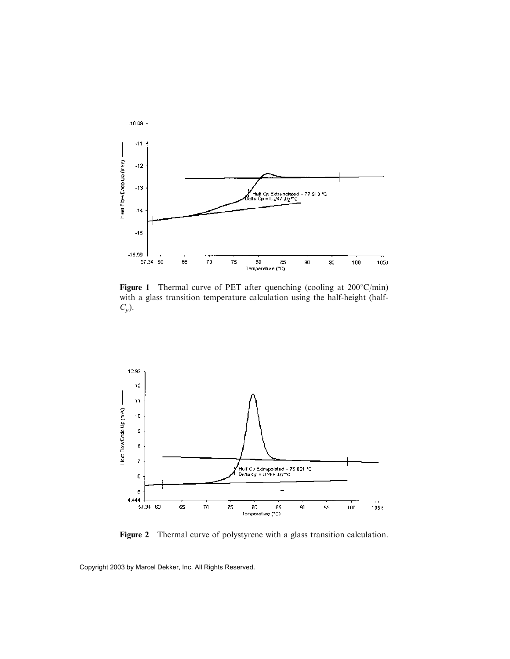<span id="page-3-0"></span>

Figure 1 Thermal curve of PET after quenching (cooling at  $200^{\circ}$ C/min) with a glass transition temperature calculation using the half-height (half- $C_p$ ).



Figure 2 Thermal curve of polystyrene with a glass transition calculation.

Copyright 2003 by Marcel Dekker, Inc. All Rights Reserved.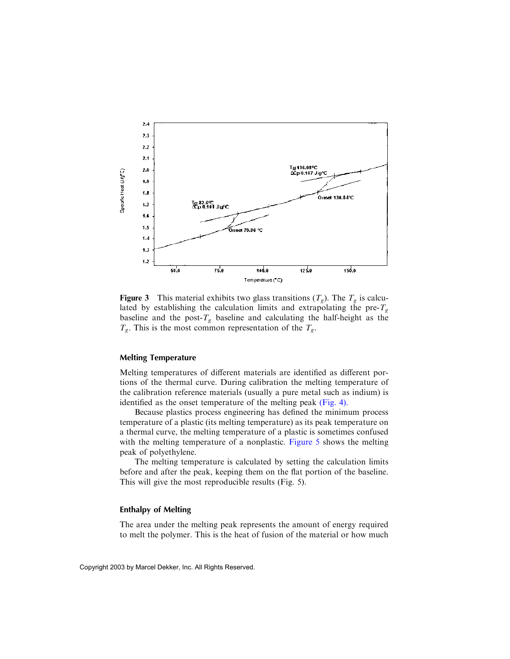<span id="page-4-0"></span>

**Figure 3** This material exhibits two glass transitions  $(T_g)$ . The  $T_g$  is calculated by establishing the calculation limits and extrapolating the pre- $T_g$ baseline and the post- $T<sub>g</sub>$  baseline and calculating the half-height as the  $T_g$ . This is the most common representation of the  $T_g$ .

#### Melting Temperature

Melting temperatures of different materials are identified as different portions of the thermal curve. During calibration the melting temperature of the calibration reference materials (usually a pure metal such as indium) is identified as the onset temperature of the melting peak [\(Fig. 4\).](#page-5-0)

Because plastics process engineering has defined the minimum process temperature of a plastic (its melting temperature) as its peak temperature on a thermal curve, the melting temperature of a plastic is sometimes confused with the melting temperature of a nonplastic. [Figure 5](#page-5-0) shows the melting peak of polyethylene.

The melting temperature is calculated by setting the calculation limits before and after the peak, keeping them on the flat portion of the baseline. This will give the most reproducible results (Fig. 5).

#### Enthalpy of Melting

The area under the melting peak represents the amount of energy required to melt the polymer. This is the heat of fusion of the material or how much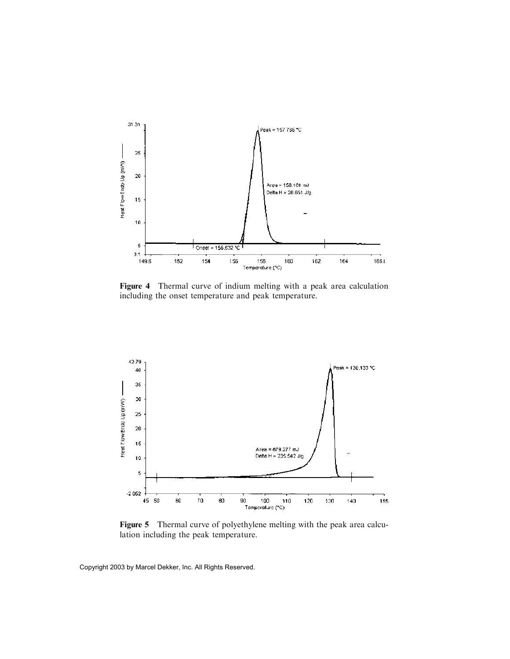<span id="page-5-0"></span>

Figure 4 Thermal curve of indium melting with a peak area calculation including the onset temperature and peak temperature.



Figure 5 Thermal curve of polyethylene melting with the peak area calculation including the peak temperature.

Copyright 2003 by Marcel Dekker, Inc. All Rights Reserved.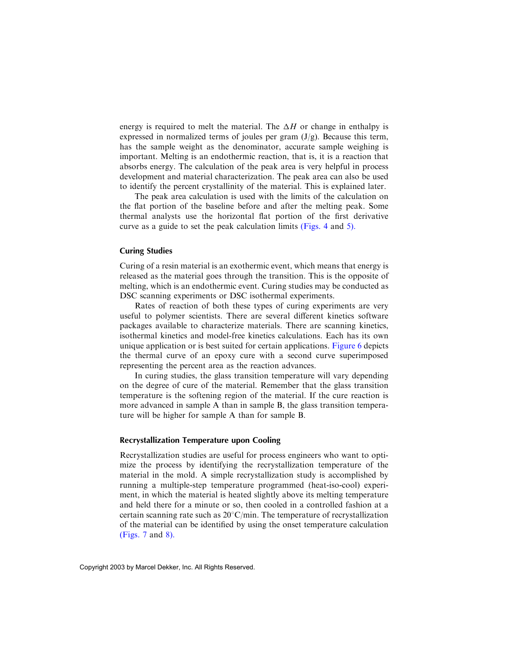energy is required to melt the material. The  $\Delta H$  or change in enthalpy is expressed in normalized terms of joules per gram  $(J/g)$ . Because this term, has the sample weight as the denominator, accurate sample weighing is important. Melting is an endothermic reaction, that is, it is a reaction that absorbs energy. The calculation of the peak area is very helpful in process development and material characterization. The peak area can also be used to identify the percent crystallinity of the material. This is explained later.

The peak area calculation is used with the limits of the calculation on the flat portion of the baseline before and after the melting peak. Some thermal analysts use the horizontal flat portion of the first derivative curve as a guide to set the peak calculation limits [\(Figs. 4](#page-5-0) and [5\).](#page-5-0)

#### Curing Studies

Curing of a resin material is an exothermic event, which means that energy is released as the material goes through the transition. This is the opposite of melting, which is an endothermic event. Curing studies may be conducted as DSC scanning experiments or DSC isothermal experiments.

Rates of reaction of both these types of curing experiments are very useful to polymer scientists. There are several different kinetics software packages available to characterize materials. There are scanning kinetics, isothermal kinetics and model-free kinetics calculations. Each has its own unique application or is best suited for certain applications. [Figure 6](#page-7-0) depicts the thermal curve of an epoxy cure with a second curve superimposed representing the percent area as the reaction advances.

In curing studies, the glass transition temperature will vary depending on the degree of cure of the material. Remember that the glass transition temperature is the softening region of the material. If the cure reaction is more advanced in sample A than in sample B, the glass transition temperature will be higher for sample A than for sample B.

## Recrystallization Temperature upon Cooling

Recrystallization studies are useful for process engineers who want to optimize the process by identifying the recrystallization temperature of the material in the mold. A simple recrystallization study is accomplished by running a multiple-step temperature programmed (heat-iso-cool) experiment, in which the material is heated slightly above its melting temperature and held there for a minute or so, then cooled in a controlled fashion at a certain scanning rate such as  $20^{\circ}$ C/min. The temperature of recrystallization of the material can be identified by using the onset temperature calculation [\(Figs. 7](#page-7-0) and [8\)](#page-8-0).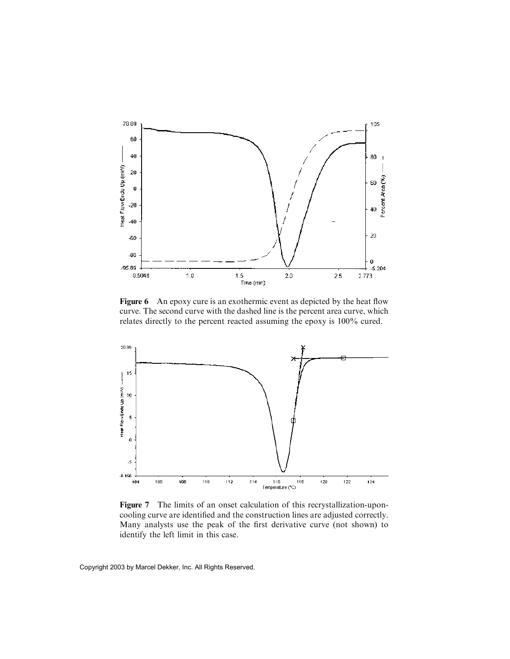<span id="page-7-0"></span>

**Figure 6** An epoxy cure is an exothermic event as depicted by the heat flow curve. The second curve with the dashed line is the percent area curve, which relates directly to the percent reacted assuming the epoxy is 100% cured.



Figure 7 The limits of an onset calculation of this recrystallization-uponcooling curve are identified and the construction lines are adjusted correctly. Many analysts use the peak of the first derivative curve (not shown) to identify the left limit in this case.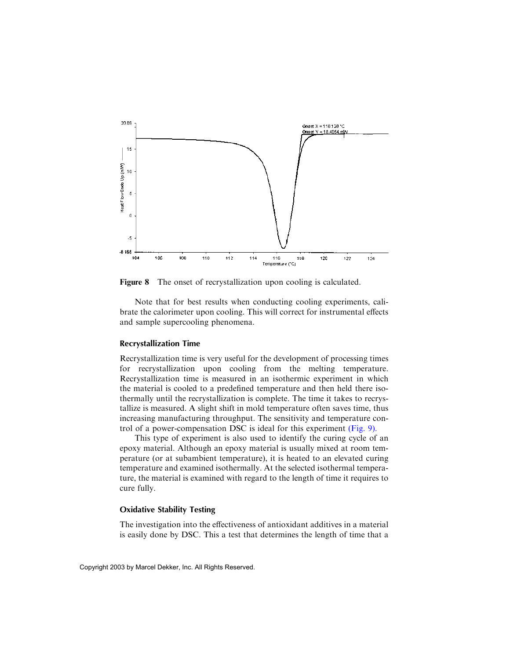<span id="page-8-0"></span>

Figure 8 The onset of recrystallization upon cooling is calculated.

Note that for best results when conducting cooling experiments, calibrate the calorimeter upon cooling. This will correct for instrumental effects and sample supercooling phenomena.

#### Recrystallization Time

Recrystallization time is very useful for the development of processing times for recrystallization upon cooling from the melting temperature. Recrystallization time is measured in an isothermic experiment in which the material is cooled to a predefined temperature and then held there isothermally until the recrystallization is complete. The time it takes to recrystallize is measured. A slight shift in mold temperature often saves time, thus increasing manufacturing throughput. The sensitivity and temperature control of a power-compensation DSC is ideal for this experiment [\(Fig. 9\).](#page-9-0)

This type of experiment is also used to identify the curing cycle of an epoxy material. Although an epoxy material is usually mixed at room temperature (or at subambient temperature), it is heated to an elevated curing temperature and examined isothermally. At the selected isothermal temperature, the material is examined with regard to the length of time it requires to cure fully.

# Oxidative Stability Testing

The investigation into the effectiveness of antioxidant additives in a material is easily done by DSC. This a test that determines the length of time that a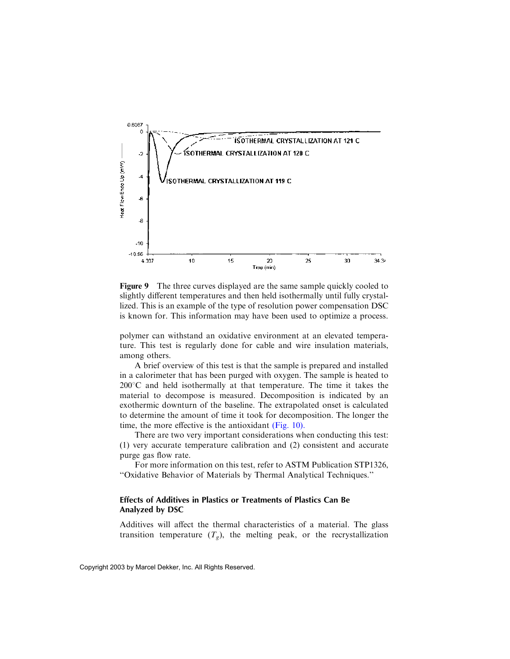<span id="page-9-0"></span>

Figure 9 The three curves displayed are the same sample quickly cooled to slightly different temperatures and then held isothermally until fully crystallized. This is an example of the type of resolution power compensation DSC is known for. This information may have been used to optimize a process.

polymer can withstand an oxidative environment at an elevated temperature. This test is regularly done for cable and wire insulation materials, among others.

A brief overview of this test is that the sample is prepared and installed in a calorimeter that has been purged with oxygen. The sample is heated to  $200^{\circ}$ C and held isothermally at that temperature. The time it takes the material to decompose is measured. Decomposition is indicated by an exothermic downturn of the baseline. The extrapolated onset is calculated to determine the amount of time it took for decomposition. The longer the time, the more effective is the antioxidant [\(Fig. 10\).](#page-10-0)

There are two very important considerations when conducting this test: (1) very accurate temperature calibration and (2) consistent and accurate purge gas flow rate.

For more information on this test, refer to ASTM Publication STP1326, ''Oxidative Behavior of Materials by Thermal Analytical Techniques.''

# Effects of Additives in Plastics or Treatments of Plastics Can Be Analyzed by DSC

Additives will affect the thermal characteristics of a material. The glass transition temperature  $(T<sub>g</sub>)$ , the melting peak, or the recrystallization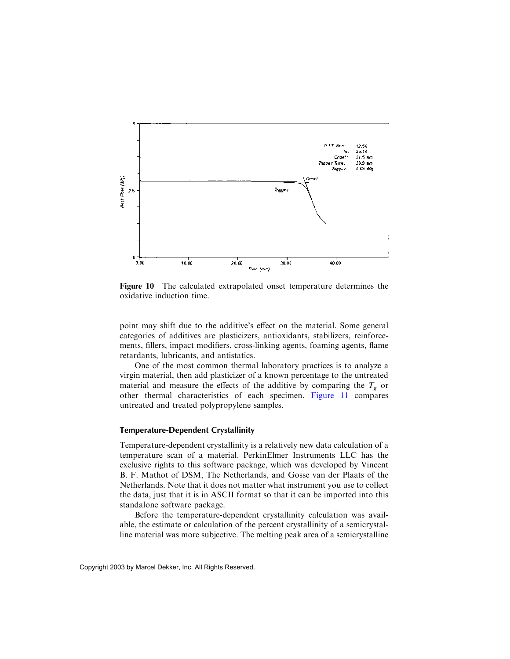<span id="page-10-0"></span>

Figure 10 The calculated extrapolated onset temperature determines the oxidative induction time.

point may shift due to the additive's effect on the material. Some general categories of additives are plasticizers, antioxidants, stabilizers, reinforcements, fillers, impact modifiers, cross-linking agents, foaming agents, flame retardants, lubricants, and antistatics.

One of the most common thermal laboratory practices is to analyze a virgin material, then add plasticizer of a known percentage to the untreated material and measure the effects of the additive by comparing the  $T_g$  or other thermal characteristics of each specimen. [Figure 11](#page-11-0) compares untreated and treated polypropylene samples.

#### Temperature-Dependent Crystallinity

Temperature-dependent crystallinity is a relatively new data calculation of a temperature scan of a material. PerkinElmer Instruments LLC has the exclusive rights to this software package, which was developed by Vincent B. F. Mathot of DSM, The Netherlands, and Gosse van der Plaats of the Netherlands. Note that it does not matter what instrument you use to collect the data, just that it is in ASCII format so that it can be imported into this standalone software package.

Before the temperature-dependent crystallinity calculation was available, the estimate or calculation of the percent crystallinity of a semicrystalline material was more subjective. The melting peak area of a semicrystalline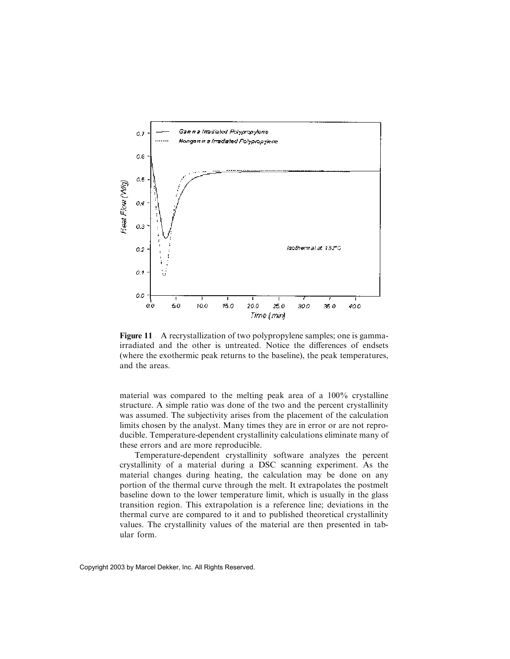<span id="page-11-0"></span>

Figure 11 A recrystallization of two polypropylene samples; one is gammairradiated and the other is untreated. Notice the differences of endsets (where the exothermic peak returns to the baseline), the peak temperatures, and the areas.

material was compared to the melting peak area of a 100% crystalline structure. A simple ratio was done of the two and the percent crystallinity was assumed. The subjectivity arises from the placement of the calculation limits chosen by the analyst. Many times they are in error or are not reproducible. Temperature-dependent crystallinity calculations eliminate many of these errors and are more reproducible.

Temperature-dependent crystallinity software analyzes the percent crystallinity of a material during a DSC scanning experiment. As the material changes during heating, the calculation may be done on any portion of the thermal curve through the melt. It extrapolates the postmelt baseline down to the lower temperature limit, which is usually in the glass transition region. This extrapolation is a reference line; deviations in the thermal curve are compared to it and to published theoretical crystallinity values. The crystallinity values of the material are then presented in tabular form.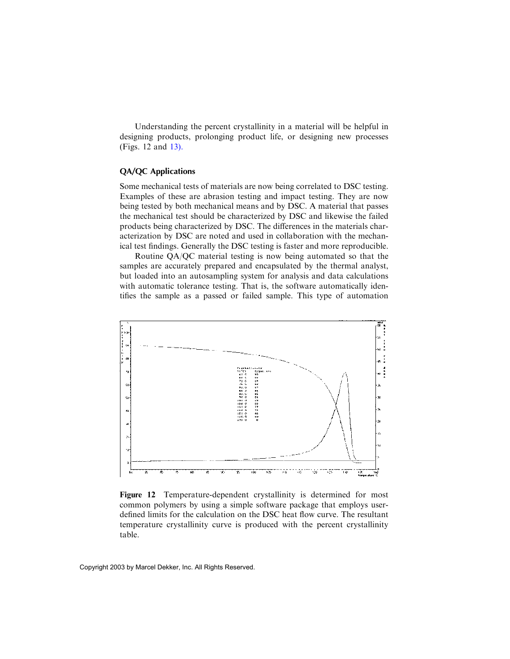Understanding the percent crystallinity in a material will be helpful in designing products, prolonging product life, or designing new processes (Figs. 12 and [13\).](#page-13-0)

## QA/QC Applications

Some mechanical tests of materials are now being correlated to DSC testing. Examples of these are abrasion testing and impact testing. They are now being tested by both mechanical means and by DSC. A material that passes the mechanical test should be characterized by DSC and likewise the failed products being characterized by DSC. The differences in the materials characterization by DSC are noted and used in collaboration with the mechanical test findings. Generally the DSC testing is faster and more reproducible.

Routine QA/QC material testing is now being automated so that the samples are accurately prepared and encapsulated by the thermal analyst, but loaded into an autosampling system for analysis and data calculations with automatic tolerance testing. That is, the software automatically identifies the sample as a passed or failed sample. This type of automation



Figure 12 Temperature-dependent crystallinity is determined for most common polymers by using a simple software package that employs userdefined limits for the calculation on the DSC heat flow curve. The resultant temperature crystallinity curve is produced with the percent crystallinity table.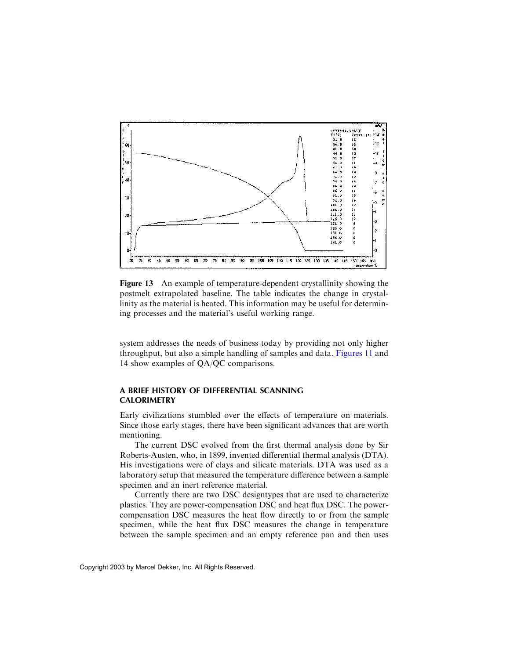<span id="page-13-0"></span>

Figure 13 An example of temperature-dependent crystallinity showing the postmelt extrapolated baseline. The table indicates the change in crystallinity as the material is heated. This information may be useful for determining processes and the material's useful working range.

system addresses the needs of business today by providing not only higher throughput, but also a simple handling of samples and data. [Figures 11](#page-11-0) and 14 show examples of QA/QC comparisons.

## A BRIEF HISTORY OF DIFFERENTIAL SCANNING **CALORIMETRY**

Early civilizations stumbled over the effects of temperature on materials. Since those early stages, there have been significant advances that are worth mentioning.

The current DSC evolved from the first thermal analysis done by Sir Roberts-Austen, who, in 1899, invented differential thermal analysis (DTA). His investigations were of clays and silicate materials. DTA was used as a laboratory setup that measured the temperature difference between a sample specimen and an inert reference material.

Currently there are two DSC designtypes that are used to characterize plastics. They are power-compensation DSC and heat flux DSC. The powercompensation DSC measures the heat flow directly to or from the sample specimen, while the heat flux DSC measures the change in temperature between the sample specimen and an empty reference pan and then uses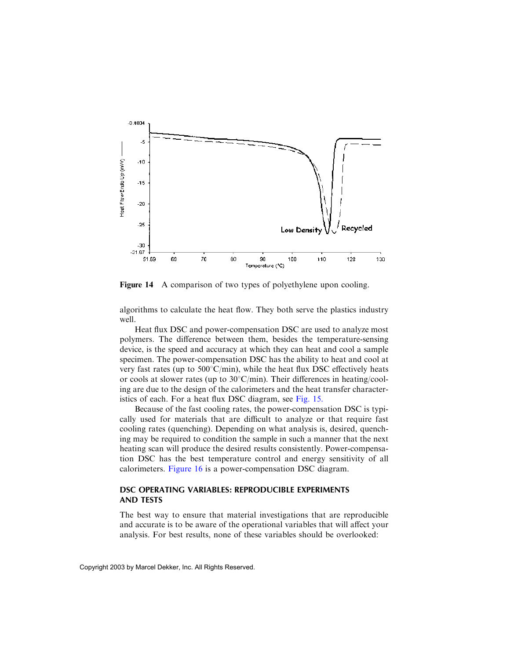

Figure 14 A comparison of two types of polyethylene upon cooling.

algorithms to calculate the heat flow. They both serve the plastics industry well.

Heat flux DSC and power-compensation DSC are used to analyze most polymers. The difference between them, besides the temperature-sensing device, is the speed and accuracy at which they can heat and cool a sample specimen. The power-compensation DSC has the ability to heat and cool at very fast rates (up to  $500^{\circ}$ C/min), while the heat flux DSC effectively heats or cools at slower rates (up to  $30^{\circ}$ C/min). Their differences in heating/cooling are due to the design of the calorimeters and the heat transfer characteristics of each. For a heat flux DSC diagram, see [Fig. 15.](#page-15-0)

Because of the fast cooling rates, the power-compensation DSC is typically used for materials that are difficult to analyze or that require fast cooling rates (quenching). Depending on what analysis is, desired, quenching may be required to condition the sample in such a manner that the next heating scan will produce the desired results consistently. Power-compensation DSC has the best temperature control and energy sensitivity of all calorimeters. [Figure 16](#page-15-0) is a power-compensation DSC diagram.

## DSC OPERATING VARIABLES: REPRODUCIBLE EXPERIMENTS AND TESTS

The best way to ensure that material investigations that are reproducible and accurate is to be aware of the operational variables that will affect your analysis. For best results, none of these variables should be overlooked: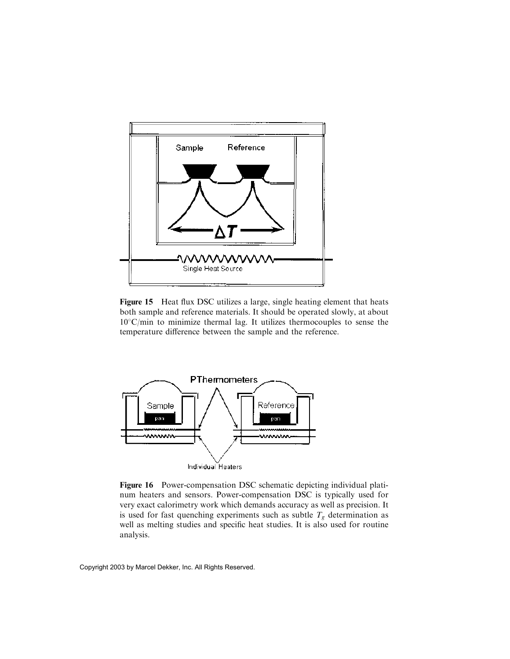<span id="page-15-0"></span>

Figure 15 Heat flux DSC utilizes a large, single heating element that heats both sample and reference materials. It should be operated slowly, at about  $10^{\circ}$ C/min to minimize thermal lag. It utilizes thermocouples to sense the temperature difference between the sample and the reference.



Figure 16 Power-compensation DSC schematic depicting individual platinum heaters and sensors. Power-compensation DSC is typically used for very exact calorimetry work which demands accuracy as well as precision. It is used for fast quenching experiments such as subtle  $T<sub>g</sub>$  determination as well as melting studies and specific heat studies. It is also used for routine analysis.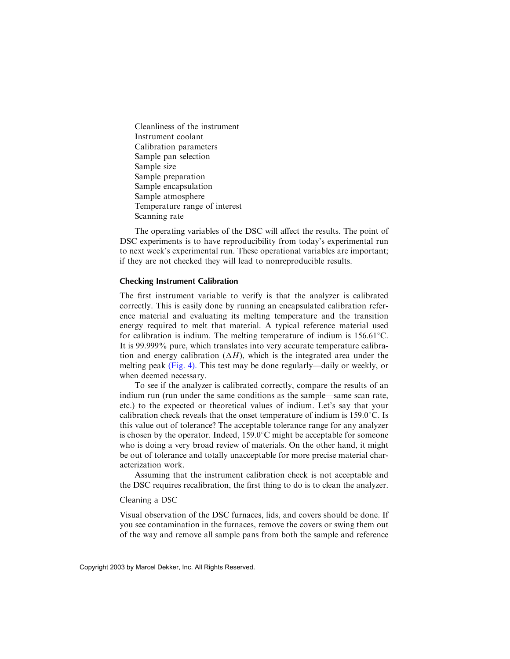Cleanliness of the instrument Instrument coolant Calibration parameters Sample pan selection Sample size Sample preparation Sample encapsulation Sample atmosphere Temperature range of interest Scanning rate

The operating variables of the DSC will affect the results. The point of DSC experiments is to have reproducibility from today's experimental run to next week's experimental run. These operational variables are important; if they are not checked they will lead to nonreproducible results.

## Checking Instrument Calibration

The first instrument variable to verify is that the analyzer is calibrated correctly. This is easily done by running an encapsulated calibration reference material and evaluating its melting temperature and the transition energy required to melt that material. A typical reference material used for calibration is indium. The melting temperature of indium is  $156.61^{\circ}$ C. It is 99.999% pure, which translates into very accurate temperature calibration and energy calibration  $(\Delta H)$ , which is the integrated area under the melting peak [\(Fig. 4\)](#page-5-0). This test may be done regularly—daily or weekly, or when deemed necessary.

To see if the analyzer is calibrated correctly, compare the results of an indium run (run under the same conditions as the sample—same scan rate, etc.) to the expected or theoretical values of indium. Let's say that your calibration check reveals that the onset temperature of indium is  $159.0^{\circ}$ C. Is this value out of tolerance? The acceptable tolerance range for any analyzer is chosen by the operator. Indeed,  $159.0^{\circ}$ C might be acceptable for someone who is doing a very broad review of materials. On the other hand, it might be out of tolerance and totally unacceptable for more precise material characterization work.

Assuming that the instrument calibration check is not acceptable and the DSC requires recalibration, the first thing to do is to clean the analyzer.

Cleaning a DSC

Visual observation of the DSC furnaces, lids, and covers should be done. If you see contamination in the furnaces, remove the covers or swing them out of the way and remove all sample pans from both the sample and reference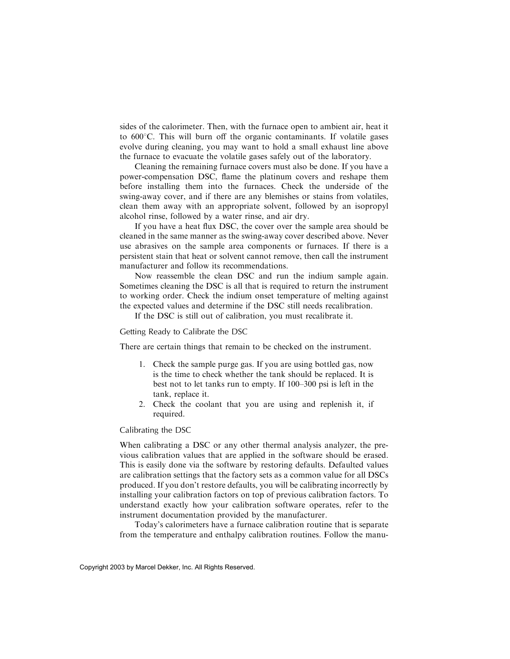sides of the calorimeter. Then, with the furnace open to ambient air, heat it to  $600^{\circ}$ C. This will burn off the organic contaminants. If volatile gases evolve during cleaning, you may want to hold a small exhaust line above the furnace to evacuate the volatile gases safely out of the laboratory.

Cleaning the remaining furnace covers must also be done. If you have a power-compensation DSC, flame the platinum covers and reshape them before installing them into the furnaces. Check the underside of the swing-away cover, and if there are any blemishes or stains from volatiles, clean them away with an appropriate solvent, followed by an isopropyl alcohol rinse, followed by a water rinse, and air dry.

If you have a heat flux DSC, the cover over the sample area should be cleaned in the same manner as the swing-away cover described above. Never use abrasives on the sample area components or furnaces. If there is a persistent stain that heat or solvent cannot remove, then call the instrument manufacturer and follow its recommendations.

Now reassemble the clean DSC and run the indium sample again. Sometimes cleaning the DSC is all that is required to return the instrument to working order. Check the indium onset temperature of melting against the expected values and determine if the DSC still needs recalibration.

If the DSC is still out of calibration, you must recalibrate it.

Getting Ready to Calibrate the DSC

There are certain things that remain to be checked on the instrument.

- 1. Check the sample purge gas. If you are using bottled gas, now is the time to check whether the tank should be replaced. It is best not to let tanks run to empty. If 100–300 psi is left in the tank, replace it.
- 2. Check the coolant that you are using and replenish it, if required.

## Calibrating the DSC

When calibrating a DSC or any other thermal analysis analyzer, the previous calibration values that are applied in the software should be erased. This is easily done via the software by restoring defaults. Defaulted values are calibration settings that the factory sets as a common value for all DSCs produced. If you don't restore defaults, you will be calibrating incorrectly by installing your calibration factors on top of previous calibration factors. To understand exactly how your calibration software operates, refer to the instrument documentation provided by the manufacturer.

Today's calorimeters have a furnace calibration routine that is separate from the temperature and enthalpy calibration routines. Follow the manu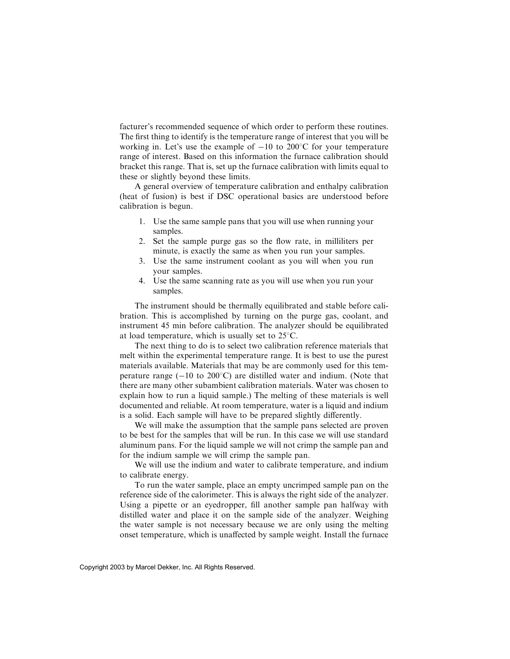facturer's recommended sequence of which order to perform these routines. The first thing to identify is the temperature range of interest that you will be working in. Let's use the example of  $-10$  to 200°C for your temperature range of interest. Based on this information the furnace calibration should bracket this range. That is, set up the furnace calibration with limits equal to these or slightly beyond these limits.

A general overview of temperature calibration and enthalpy calibration (heat of fusion) is best if DSC operational basics are understood before calibration is begun.

- 1. Use the same sample pans that you will use when running your samples.
- 2. Set the sample purge gas so the flow rate, in milliliters per minute, is exactly the same as when you run your samples.
- 3. Use the same instrument coolant as you will when you run your samples.
- 4. Use the same scanning rate as you will use when you run your samples.

The instrument should be thermally equilibrated and stable before calibration. This is accomplished by turning on the purge gas, coolant, and instrument 45 min before calibration. The analyzer should be equilibrated at load temperature, which is usually set to  $25^{\circ}$ C.

The next thing to do is to select two calibration reference materials that melt within the experimental temperature range. It is best to use the purest materials available. Materials that may be are commonly used for this temperature range  $(-10 \text{ to } 200^{\circ} \text{C})$  are distilled water and indium. (Note that there are many other subambient calibration materials. Water was chosen to explain how to run a liquid sample.) The melting of these materials is well documented and reliable. At room temperature, water is a liquid and indium is a solid. Each sample will have to be prepared slightly differently.

We will make the assumption that the sample pans selected are proven to be best for the samples that will be run. In this case we will use standard aluminum pans. For the liquid sample we will not crimp the sample pan and for the indium sample we will crimp the sample pan.

We will use the indium and water to calibrate temperature, and indium to calibrate energy.

To run the water sample, place an empty uncrimped sample pan on the reference side of the calorimeter. This is always the right side of the analyzer. Using a pipette or an eyedropper, fill another sample pan halfway with distilled water and place it on the sample side of the analyzer. Weighing the water sample is not necessary because we are only using the melting onset temperature, which is unaffected by sample weight. Install the furnace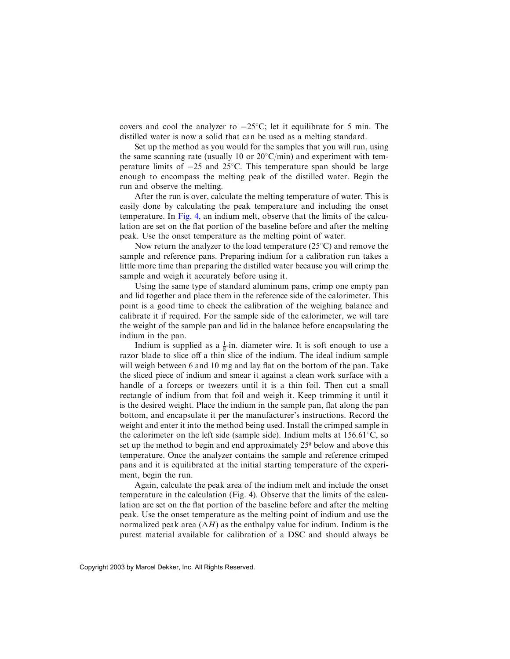covers and cool the analyzer to  $-25^{\circ}$ C; let it equilibrate for 5 min. The distilled water is now a solid that can be used as a melting standard.

Set up the method as you would for the samples that you will run, using the same scanning rate (usually 10 or  $20^{\circ}C/min$ ) and experiment with temperature limits of  $-25$  and  $25^{\circ}$ C. This temperature span should be large enough to encompass the melting peak of the distilled water. Begin the run and observe the melting.

After the run is over, calculate the melting temperature of water. This is easily done by calculating the peak temperature and including the onset temperature. In [Fig. 4,](#page-5-0) an indium melt, observe that the limits of the calculation are set on the flat portion of the baseline before and after the melting peak. Use the onset temperature as the melting point of water.

Now return the analyzer to the load temperature  $(25^{\circ}C)$  and remove the sample and reference pans. Preparing indium for a calibration run takes a little more time than preparing the distilled water because you will crimp the sample and weigh it accurately before using it.

Using the same type of standard aluminum pans, crimp one empty pan and lid together and place them in the reference side of the calorimeter. This point is a good time to check the calibration of the weighing balance and calibrate it if required. For the sample side of the calorimeter, we will tare the weight of the sample pan and lid in the balance before encapsulating the indium in the pan.

Indium is supplied as a  $\frac{1}{8}$ -in. diameter wire. It is soft enough to use a razor blade to slice off a thin slice of the indium. The ideal indium sample will weigh between 6 and 10 mg and lay flat on the bottom of the pan. Take the sliced piece of indium and smear it against a clean work surface with a handle of a forceps or tweezers until it is a thin foil. Then cut a small rectangle of indium from that foil and weigh it. Keep trimming it until it is the desired weight. Place the indium in the sample pan, flat along the pan bottom, and encapsulate it per the manufacturer's instructions. Record the weight and enter it into the method being used. Install the crimped sample in the calorimeter on the left side (sample side). Indium melts at  $156.61^{\circ}$ C, so set up the method to begin and end approximately  $25<sup>o</sup>$  below and above this temperature. Once the analyzer contains the sample and reference crimped pans and it is equilibrated at the initial starting temperature of the experiment, begin the run.

Again, calculate the peak area of the indium melt and include the onset temperature in the calculation (Fig. 4). Observe that the limits of the calculation are set on the flat portion of the baseline before and after the melting peak. Use the onset temperature as the melting point of indium and use the normalized peak area ( $\Delta H$ ) as the enthalpy value for indium. Indium is the purest material available for calibration of a DSC and should always be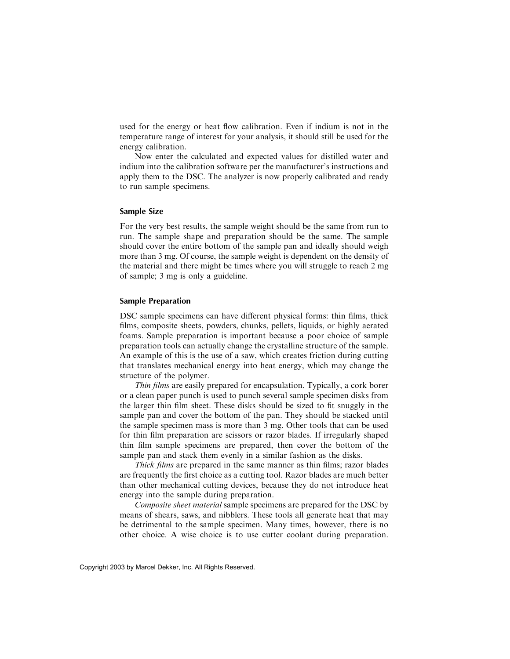used for the energy or heat flow calibration. Even if indium is not in the temperature range of interest for your analysis, it should still be used for the energy calibration.

Now enter the calculated and expected values for distilled water and indium into the calibration software per the manufacturer's instructions and apply them to the DSC. The analyzer is now properly calibrated and ready to run sample specimens.

## Sample Size

For the very best results, the sample weight should be the same from run to run. The sample shape and preparation should be the same. The sample should cover the entire bottom of the sample pan and ideally should weigh more than 3 mg. Of course, the sample weight is dependent on the density of the material and there might be times where you will struggle to reach 2 mg of sample; 3 mg is only a guideline.

# Sample Preparation

DSC sample specimens can have different physical forms: thin films, thick films, composite sheets, powders, chunks, pellets, liquids, or highly aerated foams. Sample preparation is important because a poor choice of sample preparation tools can actually change the crystalline structure of the sample. An example of this is the use of a saw, which creates friction during cutting that translates mechanical energy into heat energy, which may change the structure of the polymer.

Thin films are easily prepared for encapsulation. Typically, a cork borer or a clean paper punch is used to punch several sample specimen disks from the larger thin film sheet. These disks should be sized to fit snuggly in the sample pan and cover the bottom of the pan. They should be stacked until the sample specimen mass is more than 3 mg. Other tools that can be used for thin film preparation are scissors or razor blades. If irregularly shaped thin film sample specimens are prepared, then cover the bottom of the sample pan and stack them evenly in a similar fashion as the disks.

Thick films are prepared in the same manner as thin films; razor blades are frequently the first choice as a cutting tool. Razor blades are much better than other mechanical cutting devices, because they do not introduce heat energy into the sample during preparation.

Composite sheet material sample specimens are prepared for the DSC by means of shears, saws, and nibblers. These tools all generate heat that may be detrimental to the sample specimen. Many times, however, there is no other choice. A wise choice is to use cutter coolant during preparation.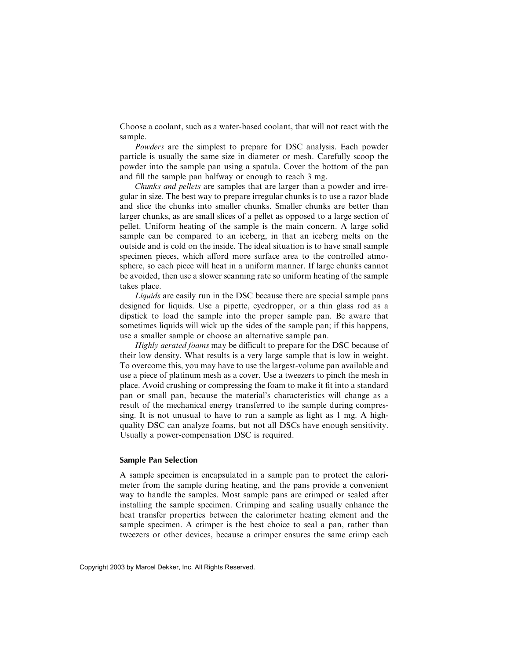Choose a coolant, such as a water-based coolant, that will not react with the sample.

Powders are the simplest to prepare for DSC analysis. Each powder particle is usually the same size in diameter or mesh. Carefully scoop the powder into the sample pan using a spatula. Cover the bottom of the pan and fill the sample pan halfway or enough to reach 3 mg.

Chunks and pellets are samples that are larger than a powder and irregular in size. The best way to prepare irregular chunks is to use a razor blade and slice the chunks into smaller chunks. Smaller chunks are better than larger chunks, as are small slices of a pellet as opposed to a large section of pellet. Uniform heating of the sample is the main concern. A large solid sample can be compared to an iceberg, in that an iceberg melts on the outside and is cold on the inside. The ideal situation is to have small sample specimen pieces, which afford more surface area to the controlled atmosphere, so each piece will heat in a uniform manner. If large chunks cannot be avoided, then use a slower scanning rate so uniform heating of the sample takes place.

Liquids are easily run in the DSC because there are special sample pans designed for liquids. Use a pipette, eyedropper, or a thin glass rod as a dipstick to load the sample into the proper sample pan. Be aware that sometimes liquids will wick up the sides of the sample pan; if this happens, use a smaller sample or choose an alternative sample pan.

Highly aerated foams may be difficult to prepare for the DSC because of their low density. What results is a very large sample that is low in weight. To overcome this, you may have to use the largest-volume pan available and use a piece of platinum mesh as a cover. Use a tweezers to pinch the mesh in place. Avoid crushing or compressing the foam to make it fit into a standard pan or small pan, because the material's characteristics will change as a result of the mechanical energy transferred to the sample during compressing. It is not unusual to have to run a sample as light as 1 mg. A highquality DSC can analyze foams, but not all DSCs have enough sensitivity. Usually a power-compensation DSC is required.

#### Sample Pan Selection

A sample specimen is encapsulated in a sample pan to protect the calorimeter from the sample during heating, and the pans provide a convenient way to handle the samples. Most sample pans are crimped or sealed after installing the sample specimen. Crimping and sealing usually enhance the heat transfer properties between the calorimeter heating element and the sample specimen. A crimper is the best choice to seal a pan, rather than tweezers or other devices, because a crimper ensures the same crimp each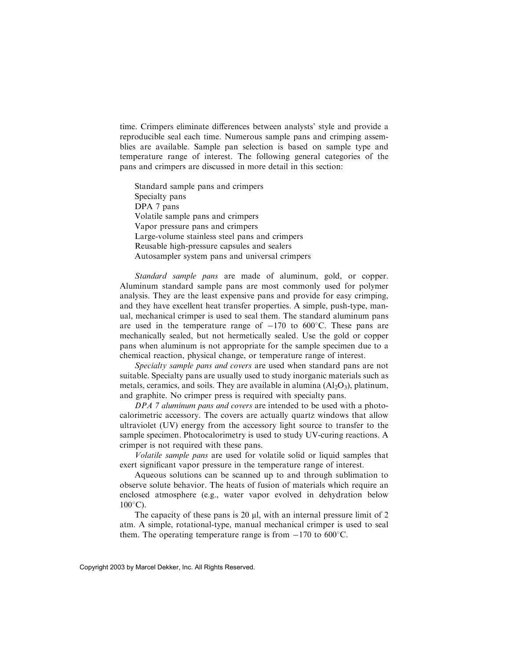time. Crimpers eliminate differences between analysts' style and provide a reproducible seal each time. Numerous sample pans and crimping assemblies are available. Sample pan selection is based on sample type and temperature range of interest. The following general categories of the pans and crimpers are discussed in more detail in this section:

Standard sample pans and crimpers Specialty pans DPA 7 pans Volatile sample pans and crimpers Vapor pressure pans and crimpers Large-volume stainless steel pans and crimpers Reusable high-pressure capsules and sealers Autosampler system pans and universal crimpers

Standard sample pans are made of aluminum, gold, or copper. Aluminum standard sample pans are most commonly used for polymer analysis. They are the least expensive pans and provide for easy crimping, and they have excellent heat transfer properties. A simple, push-type, manual, mechanical crimper is used to seal them. The standard aluminum pans are used in the temperature range of  $-170$  to  $600^{\circ}$ C. These pans are mechanically sealed, but not hermetically sealed. Use the gold or copper pans when aluminum is not appropriate for the sample specimen due to a chemical reaction, physical change, or temperature range of interest.

Specialty sample pans and covers are used when standard pans are not suitable. Specialty pans are usually used to study inorganic materials such as metals, ceramics, and soils. They are available in alumina  $(A<sub>1</sub>, O<sub>3</sub>)$ , platinum, and graphite. No crimper press is required with specialty pans.

DPA 7 aluminum pans and covers are intended to be used with a photocalorimetric accessory. The covers are actually quartz windows that allow ultraviolet (UV) energy from the accessory light source to transfer to the sample specimen. Photocalorimetry is used to study UV-curing reactions. A crimper is not required with these pans.

Volatile sample pans are used for volatile solid or liquid samples that exert significant vapor pressure in the temperature range of interest.

Aqueous solutions can be scanned up to and through sublimation to observe solute behavior. The heats of fusion of materials which require an enclosed atmosphere (e.g., water vapor evolved in dehydration below  $100^{\circ}$ C).

The capacity of these pans is 20  $\mu$ l, with an internal pressure limit of 2 atm. A simple, rotational-type, manual mechanical crimper is used to seal them. The operating temperature range is from  $-170$  to 600 $^{\circ}$ C.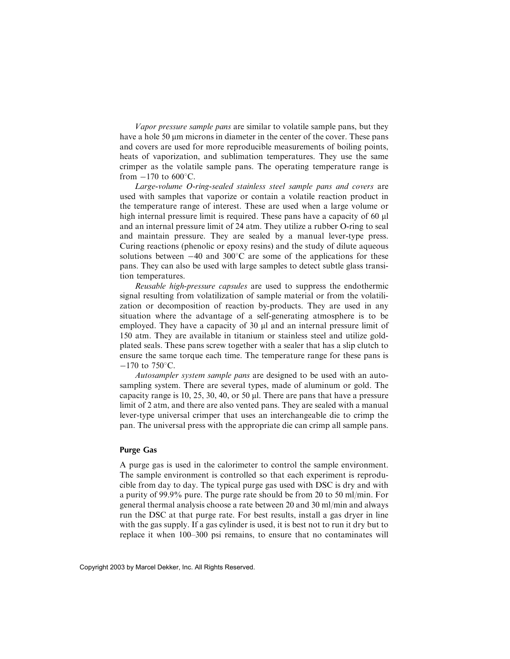Vapor pressure sample pans are similar to volatile sample pans, but they have a hole 50 um microns in diameter in the center of the cover. These pans and covers are used for more reproducible measurements of boiling points, heats of vaporization, and sublimation temperatures. They use the same crimper as the volatile sample pans. The operating temperature range is from  $-170$  to  $600^{\circ}$ C.

Large-volume O-ring-sealed stainless steel sample pans and covers are used with samples that vaporize or contain a volatile reaction product in the temperature range of interest. These are used when a large volume or high internal pressure limit is required. These pans have a capacity of 60  $\mu$ l and an internal pressure limit of 24 atm. They utilize a rubber O-ring to seal and maintain pressure. They are sealed by a manual lever-type press. Curing reactions (phenolic or epoxy resins) and the study of dilute aqueous solutions between  $-40$  and  $300^{\circ}$ C are some of the applications for these pans. They can also be used with large samples to detect subtle glass transition temperatures.

Reusable high-pressure capsules are used to suppress the endothermic signal resulting from volatilization of sample material or from the volatilization or decomposition of reaction by-products. They are used in any situation where the advantage of a self-generating atmosphere is to be employed. They have a capacity of 30 µl and an internal pressure limit of 150 atm. They are available in titanium or stainless steel and utilize goldplated seals. These pans screw together with a sealer that has a slip clutch to ensure the same torque each time. The temperature range for these pans is  $-170$  to  $750^{\circ}$ C.

Autosampler system sample pans are designed to be used with an autosampling system. There are several types, made of aluminum or gold. The capacity range is 10, 25, 30, 40, or 50 ml. There are pans that have a pressure limit of 2 atm, and there are also vented pans. They are sealed with a manual lever-type universal crimper that uses an interchangeable die to crimp the pan. The universal press with the appropriate die can crimp all sample pans.

#### Purge Gas

A purge gas is used in the calorimeter to control the sample environment. The sample environment is controlled so that each experiment is reproducible from day to day. The typical purge gas used with DSC is dry and with a purity of 99.9% pure. The purge rate should be from 20 to 50 ml/min. For general thermal analysis choose a rate between 20 and 30 ml/min and always run the DSC at that purge rate. For best results, install a gas dryer in line with the gas supply. If a gas cylinder is used, it is best not to run it dry but to replace it when 100–300 psi remains, to ensure that no contaminates will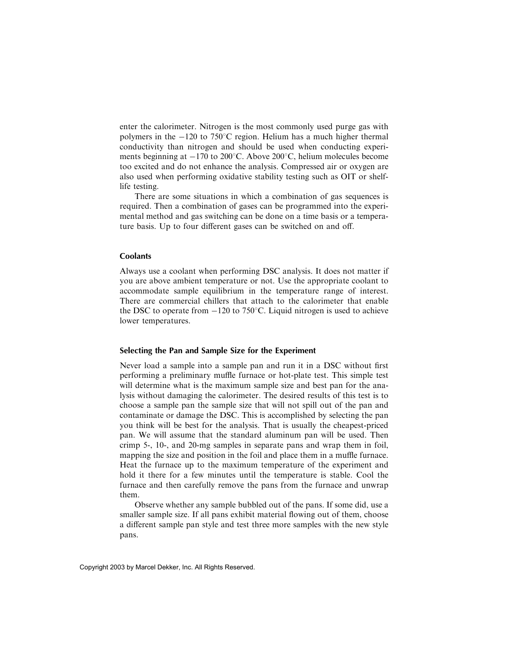enter the calorimeter. Nitrogen is the most commonly used purge gas with polymers in the  $-120$  to 750 $\degree$ C region. Helium has a much higher thermal conductivity than nitrogen and should be used when conducting experiments beginning at  $-170$  to 200°C. Above 200°C, helium molecules become too excited and do not enhance the analysis. Compressed air or oxygen are also used when performing oxidative stability testing such as OIT or shelflife testing.

There are some situations in which a combination of gas sequences is required. Then a combination of gases can be programmed into the experimental method and gas switching can be done on a time basis or a temperature basis. Up to four different gases can be switched on and off.

## **Coolants**

Always use a coolant when performing DSC analysis. It does not matter if you are above ambient temperature or not. Use the appropriate coolant to accommodate sample equilibrium in the temperature range of interest. There are commercial chillers that attach to the calorimeter that enable the DSC to operate from  $-120$  to 750°C. Liquid nitrogen is used to achieve lower temperatures.

## Selecting the Pan and Sample Size for the Experiment

Never load a sample into a sample pan and run it in a DSC without first performing a preliminary muffle furnace or hot-plate test. This simple test will determine what is the maximum sample size and best pan for the analysis without damaging the calorimeter. The desired results of this test is to choose a sample pan the sample size that will not spill out of the pan and contaminate or damage the DSC. This is accomplished by selecting the pan you think will be best for the analysis. That is usually the cheapest-priced pan. We will assume that the standard aluminum pan will be used. Then crimp 5-, 10-, and 20-mg samples in separate pans and wrap them in foil, mapping the size and position in the foil and place them in a muffle furnace. Heat the furnace up to the maximum temperature of the experiment and hold it there for a few minutes until the temperature is stable. Cool the furnace and then carefully remove the pans from the furnace and unwrap them.

Observe whether any sample bubbled out of the pans. If some did, use a smaller sample size. If all pans exhibit material flowing out of them, choose a different sample pan style and test three more samples with the new style pans.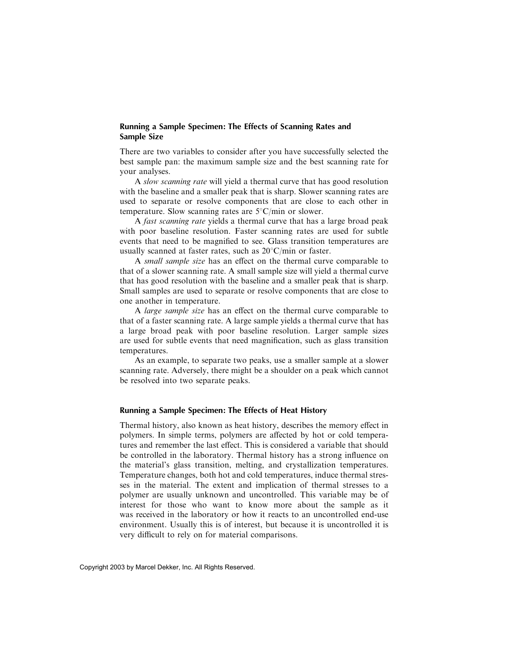# Running a Sample Specimen: The Effects of Scanning Rates and Sample Size

There are two variables to consider after you have successfully selected the best sample pan: the maximum sample size and the best scanning rate for your analyses.

A slow scanning rate will yield a thermal curve that has good resolution with the baseline and a smaller peak that is sharp. Slower scanning rates are used to separate or resolve components that are close to each other in temperature. Slow scanning rates are  $5^{\circ}C/\text{min}$  or slower.

A fast scanning rate yields a thermal curve that has a large broad peak with poor baseline resolution. Faster scanning rates are used for subtle events that need to be magnified to see. Glass transition temperatures are usually scanned at faster rates, such as  $20^{\circ}$ C/min or faster.

A small sample size has an effect on the thermal curve comparable to that of a slower scanning rate. A small sample size will yield a thermal curve that has good resolution with the baseline and a smaller peak that is sharp. Small samples are used to separate or resolve components that are close to one another in temperature.

A large sample size has an effect on the thermal curve comparable to that of a faster scanning rate. A large sample yields a thermal curve that has a large broad peak with poor baseline resolution. Larger sample sizes are used for subtle events that need magnification, such as glass transition temperatures.

As an example, to separate two peaks, use a smaller sample at a slower scanning rate. Adversely, there might be a shoulder on a peak which cannot be resolved into two separate peaks.

# Running a Sample Specimen: The Effects of Heat History

Thermal history, also known as heat history, describes the memory effect in polymers. In simple terms, polymers are affected by hot or cold temperatures and remember the last effect. This is considered a variable that should be controlled in the laboratory. Thermal history has a strong influence on the material's glass transition, melting, and crystallization temperatures. Temperature changes, both hot and cold temperatures, induce thermal stresses in the material. The extent and implication of thermal stresses to a polymer are usually unknown and uncontrolled. This variable may be of interest for those who want to know more about the sample as it was received in the laboratory or how it reacts to an uncontrolled end-use environment. Usually this is of interest, but because it is uncontrolled it is very difficult to rely on for material comparisons.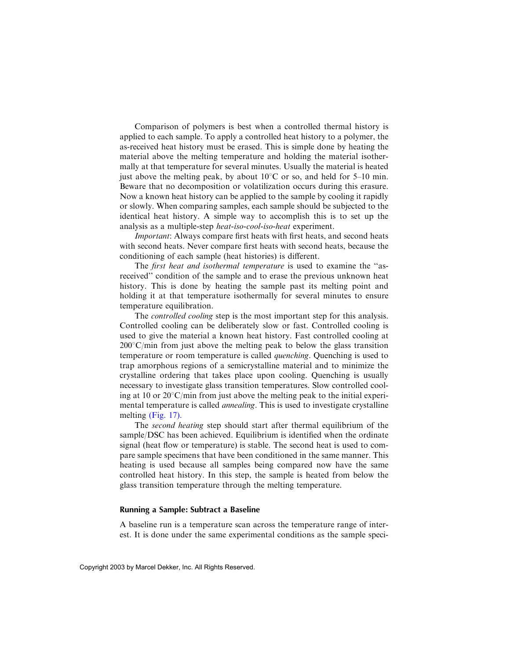Comparison of polymers is best when a controlled thermal history is applied to each sample. To apply a controlled heat history to a polymer, the as-received heat history must be erased. This is simple done by heating the material above the melting temperature and holding the material isothermally at that temperature for several minutes. Usually the material is heated just above the melting peak, by about  $10^{\circ}$ C or so, and held for 5–10 min. Beware that no decomposition or volatilization occurs during this erasure. Now a known heat history can be applied to the sample by cooling it rapidly or slowly. When comparing samples, each sample should be subjected to the identical heat history. A simple way to accomplish this is to set up the analysis as a multiple-step *heat-iso-cool-iso-heat* experiment.

Important: Always compare first heats with first heats, and second heats with second heats. Never compare first heats with second heats, because the conditioning of each sample (heat histories) is different.

The *first heat and isothermal temperature* is used to examine the "asreceived'' condition of the sample and to erase the previous unknown heat history. This is done by heating the sample past its melting point and holding it at that temperature isothermally for several minutes to ensure temperature equilibration.

The *controlled cooling* step is the most important step for this analysis. Controlled cooling can be deliberately slow or fast. Controlled cooling is used to give the material a known heat history. Fast controlled cooling at  $200^{\circ}$ C/min from just above the melting peak to below the glass transition temperature or room temperature is called *quenching*. Quenching is used to trap amorphous regions of a semicrystalline material and to minimize the crystalline ordering that takes place upon cooling. Quenching is usually necessary to investigate glass transition temperatures. Slow controlled cooling at 10 or  $20^{\circ}$ C/min from just above the melting peak to the initial experimental temperature is called annealing. This is used to investigate crystalline melting [\(Fig. 17\).](#page-27-0)

The second heating step should start after thermal equilibrium of the sample/DSC has been achieved. Equilibrium is identified when the ordinate signal (heat flow or temperature) is stable. The second heat is used to compare sample specimens that have been conditioned in the same manner. This heating is used because all samples being compared now have the same controlled heat history. In this step, the sample is heated from below the glass transition temperature through the melting temperature.

#### Running a Sample: Subtract a Baseline

A baseline run is a temperature scan across the temperature range of interest. It is done under the same experimental conditions as the sample speci-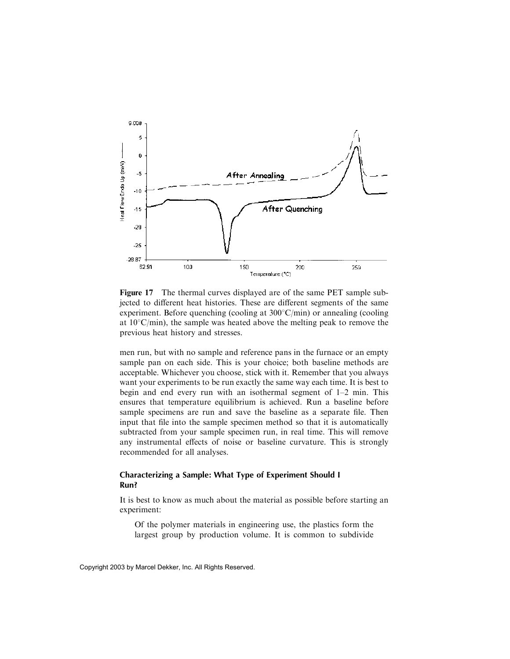<span id="page-27-0"></span>

Figure 17 The thermal curves displayed are of the same PET sample subjected to different heat histories. These are different segments of the same experiment. Before quenching (cooling at  $300^{\circ}$ C/min) or annealing (cooling at  $10^{\circ}C/\text{min}$ , the sample was heated above the melting peak to remove the previous heat history and stresses.

men run, but with no sample and reference pans in the furnace or an empty sample pan on each side. This is your choice; both baseline methods are acceptable. Whichever you choose, stick with it. Remember that you always want your experiments to be run exactly the same way each time. It is best to begin and end every run with an isothermal segment of 1–2 min. This ensures that temperature equilibrium is achieved. Run a baseline before sample specimens are run and save the baseline as a separate file. Then input that file into the sample specimen method so that it is automatically subtracted from your sample specimen run, in real time. This will remove any instrumental effects of noise or baseline curvature. This is strongly recommended for all analyses.

# Characterizing a Sample: What Type of Experiment Should I Run?

It is best to know as much about the material as possible before starting an experiment:

Of the polymer materials in engineering use, the plastics form the largest group by production volume. It is common to subdivide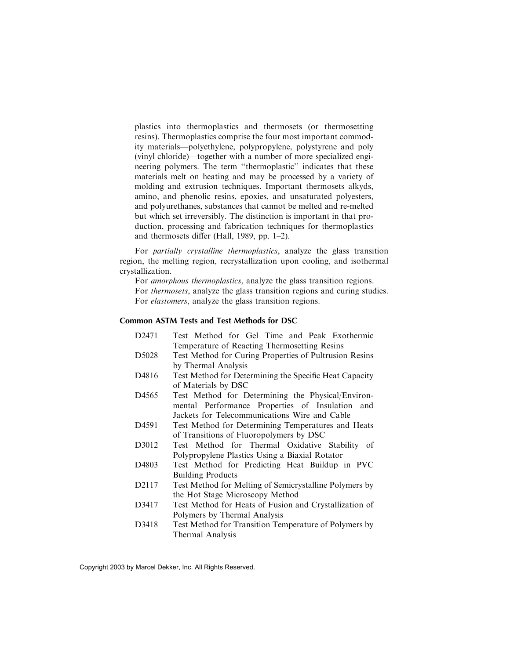plastics into thermoplastics and thermosets (or thermosetting resins). Thermoplastics comprise the four most important commodity materials—polyethylene, polypropylene, polystyrene and poly (vinyl chloride)—together with a number of more specialized engineering polymers. The term ''thermoplastic'' indicates that these materials melt on heating and may be processed by a variety of molding and extrusion techniques. Important thermosets alkyds, amino, and phenolic resins, epoxies, and unsaturated polyesters, and polyurethanes, substances that cannot be melted and re-melted but which set irreversibly. The distinction is important in that production, processing and fabrication techniques for thermoplastics and thermosets differ (Hall, 1989, pp. 1–2).

For partially crystalline thermoplastics, analyze the glass transition region, the melting region, recrystallization upon cooling, and isothermal crystallization.

For amorphous thermoplastics, analyze the glass transition regions. For thermosets, analyze the glass transition regions and curing studies. For elastomers, analyze the glass transition regions.

## Common ASTM Tests and Test Methods for DSC

| D2471 | Test Method for Gel Time and Peak Exothermic           |
|-------|--------------------------------------------------------|
|       | Temperature of Reacting Thermosetting Resins           |
| D5028 | Test Method for Curing Properties of Pultrusion Resins |
|       | by Thermal Analysis                                    |
| D4816 | Test Method for Determining the Specific Heat Capacity |
|       | of Materials by DSC                                    |
| D4565 | Test Method for Determining the Physical/Environ-      |
|       | mental Performance Properties of Insulation and        |
|       | Jackets for Telecommunications Wire and Cable          |
| D4591 | Test Method for Determining Temperatures and Heats     |
|       | of Transitions of Fluoropolymers by DSC                |
| D3012 | Test Method for Thermal Oxidative Stability of         |
|       | Polypropylene Plastics Using a Biaxial Rotator         |
| D4803 | Test Method for Predicting Heat Buildup in PVC         |
|       | <b>Building Products</b>                               |
| D2117 | Test Method for Melting of Semicrystalline Polymers by |
|       | the Hot Stage Microscopy Method                        |
| D3417 | Test Method for Heats of Fusion and Crystallization of |
|       | Polymers by Thermal Analysis                           |
| D3418 | Test Method for Transition Temperature of Polymers by  |
|       | Thermal Analysis                                       |

Copyright 2003 by Marcel Dekker, Inc. All Rights Reserved.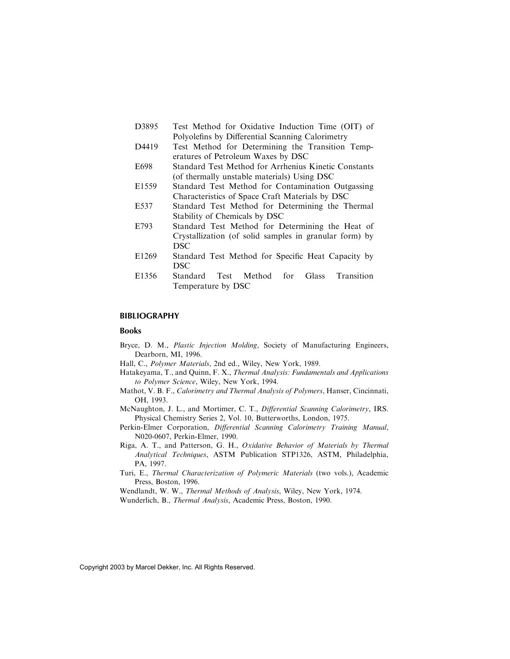| D3895             | Test Method for Oxidative Induction Time (OIT) of      |
|-------------------|--------------------------------------------------------|
|                   | Polyolefins by Differential Scanning Calorimetry       |
| D4419             | Test Method for Determining the Transition Temp-       |
|                   | eratures of Petroleum Waxes by DSC                     |
| E698              | Standard Test Method for Arrhenius Kinetic Constants   |
|                   | (of thermally unstable materials) Using DSC            |
| E1559             | Standard Test Method for Contamination Outgassing      |
|                   | Characteristics of Space Craft Materials by DSC        |
| E537              | Standard Test Method for Determining the Thermal       |
|                   | Stability of Chemicals by DSC                          |
| E793              | Standard Test Method for Determining the Heat of       |
|                   | Crystallization (of solid samples in granular form) by |
|                   | DSC                                                    |
| E <sub>1269</sub> | Standard Test Method for Specific Heat Capacity by     |
|                   | <b>DSC</b>                                             |
| E1356             | Standard Test Method for<br>Glass Transition           |
|                   | Temperature by DSC                                     |

#### BIBLIOGRAPHY

#### Books

- Bryce, D. M., *Plastic Injection Molding*, Society of Manufacturing Engineers, Dearborn, MI, 1996.
- Hall, C., Polymer Materials, 2nd ed., Wiley, New York, 1989.
- Hatakeyama, T., and Quinn, F. X., Thermal Analysis: Fundamentals and Applications to Polymer Science, Wiley, New York, 1994.
- Mathot, V. B. F., Calorimetry and Thermal Analysis of Polymers, Hanser, Cincinnati, OH, 1993.
- McNaughton, J. L., and Mortimer, C. T., Differential Scanning Calorimetry, IRS. Physical Chemistry Series 2, Vol. 10, Butterworths, London, 1975.
- Perkin-Elmer Corporation, Differential Scanning Calorimetry Training Manual, N020-0607, Perkin-Elmer, 1990.
- Riga, A. T., and Patterson, G. H., Oxidative Behavior of Materials by Thermal Analytical Techniques, ASTM Publication STP1326, ASTM, Philadelphia, PA, 1997.
- Turi, E., Thermal Characterization of Polymeric Materials (two vols.), Academic Press, Boston, 1996.
- Wendlandt, W. W., Thermal Methods of Analysis, Wiley, New York, 1974.
- Wunderlich, B., Thermal Analysis, Academic Press, Boston, 1990.